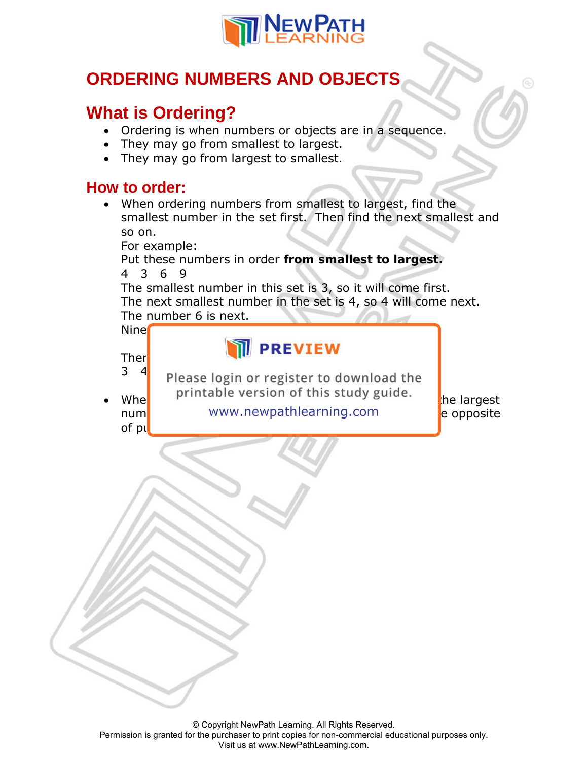

## **ORDERING NUMBERS AND OBJECTS**

## **What is Ordering?**

- Ordering is when numbers or objects are in a sequence.
- They may go from smallest to largest.
- They may go from largest to smallest.

## **How to order:**

• When ordering numbers from smallest to largest, find the smallest number in the set first. Then find the next smallest and so on.

For example:

## Put these numbers in order **from smallest to largest.** 4 3 6 9

The smallest number in this set is 3, so it will come first. The next smallest number in the set is 4, so 4 will come next. The number 6 is next.

Nine is the largest number, so it will be largest number, so it will be largest  $\sim$ 

Therefore, the order showledge  $\blacksquare$  **PREVIEW** 

 $3\frac{4}{ }$  Please login or register to download the  $Whe$  printable version of this study guide.  $\frac{1}{1}$  he largest

of pu<mark>t</mark>ting numbers in order from smallest to largest.

num**er and the new system in the next large and so one opposite** and so on. It is the opposite

© Copyright NewPath Learning. All Rights Reserved. Permission is granted for the purchaser to print copies for non-commercial educational purposes only. Visit us at www.NewPathLearning.com.